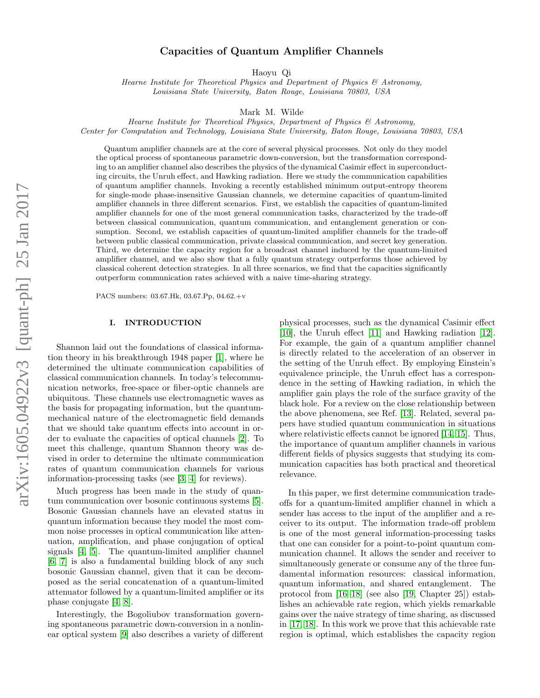# Capacities of Quantum Amplifier Channels

Haoyu Qi

Hearne Institute for Theoretical Physics and Department of Physics & Astronomy, Louisiana State University, Baton Rouge, Louisiana 70803, USA

Mark M. Wilde

Hearne Institute for Theoretical Physics, Department of Physics & Astronomy, Center for Computation and Technology, Louisiana State University, Baton Rouge, Louisiana 70803, USA

Quantum amplifier channels are at the core of several physical processes. Not only do they model the optical process of spontaneous parametric down-conversion, but the transformation corresponding to an amplifier channel also describes the physics of the dynamical Casimir effect in superconducting circuits, the Unruh effect, and Hawking radiation. Here we study the communication capabilities of quantum amplifier channels. Invoking a recently established minimum output-entropy theorem for single-mode phase-insensitive Gaussian channels, we determine capacities of quantum-limited amplifier channels in three different scenarios. First, we establish the capacities of quantum-limited amplifier channels for one of the most general communication tasks, characterized by the trade-off between classical communication, quantum communication, and entanglement generation or consumption. Second, we establish capacities of quantum-limited amplifier channels for the trade-off between public classical communication, private classical communication, and secret key generation. Third, we determine the capacity region for a broadcast channel induced by the quantum-limited amplifier channel, and we also show that a fully quantum strategy outperforms those achieved by classical coherent detection strategies. In all three scenarios, we find that the capacities significantly outperform communication rates achieved with a naive time-sharing strategy.

PACS numbers: 03.67.Hk, 03.67.Pp, 04.62.+v

#### I. INTRODUCTION

Shannon laid out the foundations of classical information theory in his breakthrough 1948 paper [\[1\]](#page-11-0), where he determined the ultimate communication capabilities of classical communication channels. In today's telecommunication networks, free-space or fiber-optic channels are ubiquitous. These channels use electromagnetic waves as the basis for propagating information, but the quantummechanical nature of the electromagnetic field demands that we should take quantum effects into account in order to evaluate the capacities of optical channels [\[2\]](#page-11-1). To meet this challenge, quantum Shannon theory was devised in order to determine the ultimate communication rates of quantum communication channels for various information-processing tasks (see [\[3,](#page-11-2) [4\]](#page-11-3) for reviews).

Much progress has been made in the study of quantum communication over bosonic continuous systems [\[5\]](#page-11-4). Bosonic Gaussian channels have an elevated status in quantum information because they model the most common noise processes in optical communication like attenuation, amplification, and phase conjugation of optical signals [\[4,](#page-11-3) [5\]](#page-11-4). The quantum-limited amplifier channel [\[6,](#page-11-5) [7\]](#page-11-6) is also a fundamental building block of any such bosonic Gaussian channel, given that it can be decomposed as the serial concatenation of a quantum-limited attenuator followed by a quantum-limited amplifier or its phase conjugate [\[4,](#page-11-3) [8\]](#page-11-7).

Interestingly, the Bogoliubov transformation governing spontaneous parametric down-conversion in a nonlinear optical system [\[9\]](#page-11-8) also describes a variety of different

physical processes, such as the dynamical Casimir effect [\[10\]](#page-11-9), the Unruh effect [\[11\]](#page-11-10) and Hawking radiation [\[12\]](#page-11-11). For example, the gain of a quantum amplifier channel is directly related to the acceleration of an observer in the setting of the Unruh effect. By employing Einstein's equivalence principle, the Unruh effect has a correspondence in the setting of Hawking radiation, in which the amplifier gain plays the role of the surface gravity of the black hole. For a review on the close relationship between the above phenomena, see Ref. [\[13\]](#page-11-12). Related, several papers have studied quantum communication in situations where relativistic effects cannot be ignored [\[14,](#page-12-0) [15\]](#page-12-1). Thus, the importance of quantum amplifier channels in various different fields of physics suggests that studying its communication capacities has both practical and theoretical relevance.

In this paper, we first determine communication tradeoffs for a quantum-limited amplifier channel in which a sender has access to the input of the amplifier and a receiver to its output. The information trade-off problem is one of the most general information-processing tasks that one can consider for a point-to-point quantum communication channel. It allows the sender and receiver to simultaneously generate or consume any of the three fundamental information resources: classical information, quantum information, and shared entanglement. The protocol from [\[16–](#page-12-2)[18\]](#page-12-3) (see also [\[19,](#page-12-4) Chapter 25]) establishes an achievable rate region, which yields remarkable gains over the naive strategy of time sharing, as discussed in [\[17,](#page-12-5) [18\]](#page-12-3). In this work we prove that this achievable rate region is optimal, which establishes the capacity region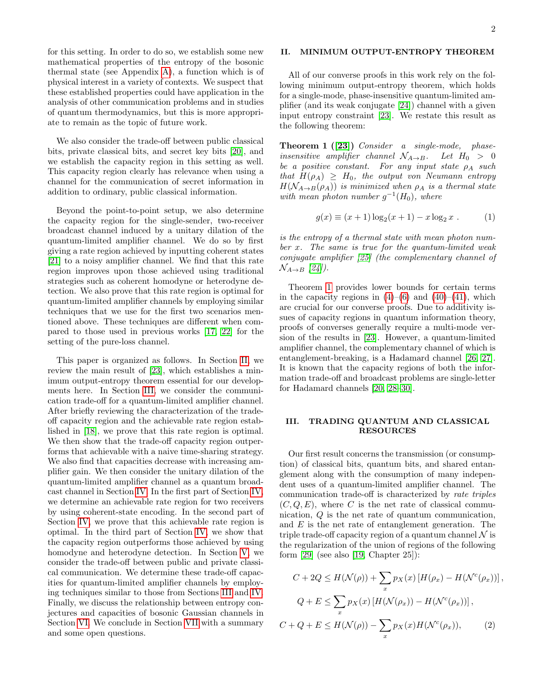2

for this setting. In order to do so, we establish some new mathematical properties of the entropy of the bosonic thermal state (see Appendix [A\)](#page-9-0), a function which is of physical interest in a variety of contexts. We suspect that these established properties could have application in the analysis of other communication problems and in studies of quantum thermodynamics, but this is more appropriate to remain as the topic of future work.

We also consider the trade-off between public classical bits, private classical bits, and secret key bits [\[20\]](#page-12-6), and we establish the capacity region in this setting as well. This capacity region clearly has relevance when using a channel for the communication of secret information in addition to ordinary, public classical information.

Beyond the point-to-point setup, we also determine the capacity region for the single-sender, two-receiver broadcast channel induced by a unitary dilation of the quantum-limited amplifier channel. We do so by first giving a rate region achieved by inputting coherent states [\[21\]](#page-12-7) to a noisy amplifier channel. We find that this rate region improves upon those achieved using traditional strategies such as coherent homodyne or heterodyne detection. We also prove that this rate region is optimal for quantum-limited amplifier channels by employing similar techniques that we use for the first two scenarios mentioned above. These techniques are different when compared to those used in previous works [\[17,](#page-12-5) [22\]](#page-12-8) for the setting of the pure-loss channel.

This paper is organized as follows. In Section [II,](#page-1-0) we review the main result of [\[23\]](#page-12-9), which establishes a minimum output-entropy theorem essential for our developments here. In Section [III,](#page-1-1) we consider the communication trade-off for a quantum-limited amplifier channel. After briefly reviewing the characterization of the tradeoff capacity region and the achievable rate region established in [\[18\]](#page-12-3), we prove that this rate region is optimal. We then show that the trade-off capacity region outperforms that achievable with a naive time-sharing strategy. We also find that capacities decrease with increasing amplifier gain. We then consider the unitary dilation of the quantum-limited amplifier channel as a quantum broadcast channel in Section [IV.](#page-4-0) In the first part of Section [IV,](#page-4-0) we determine an achievable rate region for two receivers by using coherent-state encoding. In the second part of Section [IV,](#page-4-0) we prove that this achievable rate region is optimal. In the third part of Section [IV,](#page-4-0) we show that the capacity region outperforms those achieved by using homodyne and heterodyne detection. In Section [V,](#page-8-0) we consider the trade-off between public and private classical communication. We determine these trade-off capacities for quantum-limited amplifier channels by employing techniques similar to those from Sections [III](#page-1-1) and [IV.](#page-4-0) Finally, we discuss the relationship between entropy conjectures and capacities of bosonic Gaussian channels in Section [VI.](#page-8-1) We conclude in Section [VII](#page-9-1) with a summary and some open questions.

# <span id="page-1-0"></span>II. MINIMUM OUTPUT-ENTROPY THEOREM

All of our converse proofs in this work rely on the following minimum output-entropy theorem, which holds for a single-mode, phase-insensitive quantum-limited amplifier (and its weak conjugate [\[24\]](#page-12-10)) channel with a given input entropy constraint [\[23\]](#page-12-9). We restate this result as the following theorem:

<span id="page-1-2"></span>Theorem 1 ([\[23\]](#page-12-9)) Consider a single-mode, phaseinsensitive amplifier channel  $\mathcal{N}_{A\rightarrow B}$ . Let  $H_0 > 0$ be a positive constant. For any input state  $\rho_A$  such that  $H(\rho_A) \geq H_0$ , the output von Neumann entropy  $H(\mathcal{N}_{A\rightarrow B}(\rho_A))$  is minimized when  $\rho_A$  is a thermal state with mean photon number  $g^{-1}(H_0)$ , where

<span id="page-1-3"></span>
$$
g(x) \equiv (x+1)\log_2(x+1) - x\log_2 x . \tag{1}
$$

is the entropy of a thermal state with mean photon num $ber x.$  The same is true for the quantum-limited weak conjugate amplifier [\[25\]](#page-12-11) (the complementary channel of  $\mathcal{N}_{A\rightarrow B}$  [\[24\]](#page-12-10)).

Theorem [1](#page-1-2) provides lower bounds for certain terms in the capacity regions in  $(4)$ – $(6)$  and  $(40)$ – $(41)$ , which are crucial for our converse proofs. Due to additivity issues of capacity regions in quantum information theory, proofs of converses generally require a multi-mode version of the results in [\[23\]](#page-12-9). However, a quantum-limited amplifier channel, the complementary channel of which is entanglement-breaking, is a Hadamard channel [\[26,](#page-12-12) [27\]](#page-12-13). It is known that the capacity regions of both the information trade-off and broadcast problems are single-letter for Hadamard channels [\[20,](#page-12-6) [28](#page-12-14)[–30\]](#page-12-15).

## <span id="page-1-1"></span>III. TRADING QUANTUM AND CLASSICAL RESOURCES

Our first result concerns the transmission (or consumption) of classical bits, quantum bits, and shared entanglement along with the consumption of many independent uses of a quantum-limited amplifier channel. The communication trade-off is characterized by rate triples  $(C, Q, E)$ , where C is the net rate of classical communication, Q is the net rate of quantum communication, and E is the net rate of entanglement generation. The triple trade-off capacity region of a quantum channel  $\mathcal N$  is the regularization of the union of regions of the following form  $[29]$  (see also  $[19, Chapter 25]$  $[19, Chapter 25]$ ):

<span id="page-1-4"></span>
$$
C + 2Q \le H(\mathcal{N}(\rho)) + \sum_{x} p_X(x) \left[ H(\rho_x) - H(\mathcal{N}^c(\rho_x)) \right],
$$
  

$$
Q + E \le \sum_{x} p_X(x) \left[ H(\mathcal{N}(\rho_x)) - H(\mathcal{N}^c(\rho_x)) \right],
$$
  

$$
C + Q + E \le H(\mathcal{N}(\rho)) - \sum_{x} p_X(x) H(\mathcal{N}^c(\rho_x)),
$$
 (2)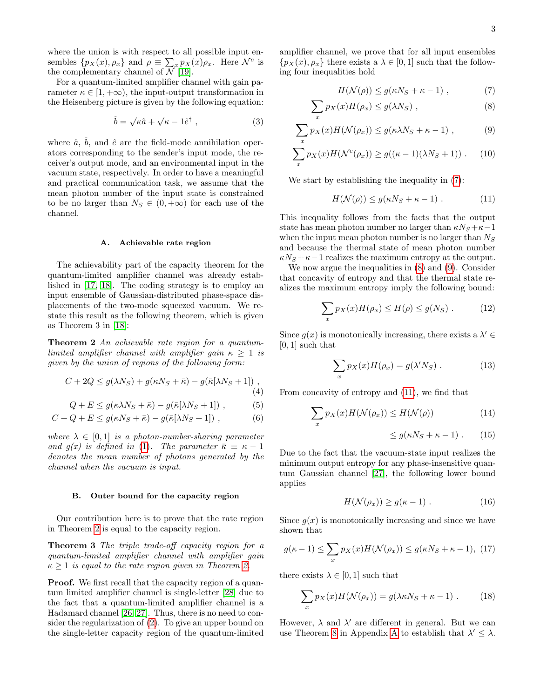where the union is with respect to all possible input ensembles  $\{p_X(x), \rho_x\}$  and  $\rho \equiv \sum_x p_X(x)\rho_x$ . Here  $\mathcal{N}^c$  is the complementary channel of  $\mathcal{N}$ [\[19\]](#page-12-4).

For a quantum-limited amplifier channel with gain parameter  $\kappa \in [1, +\infty)$ , the input-output transformation in the Heisenberg picture is given by the following equation:

$$
\hat{b} = \sqrt{\kappa}\hat{a} + \sqrt{\kappa - 1}\hat{e}^{\dagger} , \qquad (3)
$$

where  $\hat{a}$ ,  $\hat{b}$ , and  $\hat{e}$  are the field-mode annihilation operators corresponding to the sender's input mode, the receiver's output mode, and an environmental input in the vacuum state, respectively. In order to have a meaningful and practical communication task, we assume that the mean photon number of the input state is constrained to be no larger than  $N_S \in (0, +\infty)$  for each use of the channel.

### <span id="page-2-2"></span>A. Achievable rate region

The achievability part of the capacity theorem for the quantum-limited amplifier channel was already established in [\[17,](#page-12-5) [18\]](#page-12-3). The coding strategy is to employ an input ensemble of Gaussian-distributed phase-space displacements of the two-mode squeezed vacuum. We restate this result as the following theorem, which is given as Theorem 3 in [\[18\]](#page-12-3):

Theorem 2 An achievable rate region for a quantumlimited amplifier channel with amplifier gain  $\kappa \geq 1$  is given by the union of regions of the following form:

$$
C + 2Q \le g(\lambda N_S) + g(\kappa N_S + \bar{\kappa}) - g(\bar{\kappa}[\lambda N_S + 1]),
$$
\n(4)

$$
f_{\rm max} = 1.0
$$

$$
Q + E \le g(\kappa \lambda N_S + \bar{\kappa}) - g(\bar{\kappa}[\lambda N_S + 1]) , \qquad (5)
$$

$$
C + Q + E \le g(\kappa N_S + \bar{\kappa}) - g(\bar{\kappa}[\lambda N_S + 1]) , \qquad (6)
$$

where  $\lambda \in [0,1]$  is a photon-number-sharing parameter and  $g(x)$  is defined in [\(1\)](#page-1-3). The parameter  $\bar{\kappa} \equiv \kappa - 1$ denotes the mean number of photons generated by the channel when the vacuum is input.

## B. Outer bound for the capacity region

Our contribution here is to prove that the rate region in Theorem [2](#page-2-2) is equal to the capacity region.

Theorem 3 The triple trade-off capacity region for a quantum-limited amplifier channel with amplifier gain  $\kappa \geq 1$  is equal to the rate region given in Theorem [2.](#page-2-2)

**Proof.** We first recall that the capacity region of a quantum limited amplifier channel is single-letter [\[28\]](#page-12-14) due to the fact that a quantum-limited amplifier channel is a Hadamard channel [\[26,](#page-12-12) [27\]](#page-12-13). Thus, there is no need to consider the regularization of [\(2\)](#page-1-4). To give an upper bound on the single-letter capacity region of the quantum-limited amplifier channel, we prove that for all input ensembles  $\{p_X(x), \rho_x\}$  there exists a  $\lambda \in [0, 1]$  such that the following four inequalities hold

<span id="page-2-5"></span><span id="page-2-4"></span><span id="page-2-3"></span>
$$
H(\mathcal{N}(\rho)) \le g(\kappa N_S + \kappa - 1) , \qquad (7)
$$

$$
\sum_{x} p_X(x) H(\rho_x) \le g(\lambda N_S) , \qquad (8)
$$

$$
\sum_{x} p_X(x) H(\mathcal{N}(\rho_x)) \le g(\kappa \lambda N_S + \kappa - 1) , \qquad (9)
$$

$$
\sum_{x} p_X(x) H(\mathcal{N}^c(\rho_x)) \ge g((\kappa - 1)(\lambda N_S + 1)) \ . \tag{10}
$$

We start by establishing the inequality in [\(7\)](#page-2-3):

<span id="page-2-8"></span><span id="page-2-6"></span>
$$
H(\mathcal{N}(\rho)) \le g(\kappa N_S + \kappa - 1) \tag{11}
$$

This inequality follows from the facts that the output state has mean photon number no larger than  $\kappa N_S + \kappa - 1$ when the input mean photon number is no larger than  $N<sub>S</sub>$ and because the thermal state of mean photon number  $\kappa N_S + \kappa - 1$  realizes the maximum entropy at the output.

We now argue the inequalities in [\(8\)](#page-2-4) and [\(9\)](#page-2-5). Consider that concavity of entropy and that the thermal state realizes the maximum entropy imply the following bound:

$$
\sum_{x} p_X(x) H(\rho_x) \le H(\rho) \le g(N_S) . \tag{12}
$$

Since  $g(x)$  is monotonically increasing, there exists a  $\lambda' \in$  $[0, 1]$  such that

$$
\sum_{x} p_X(x) H(\rho_x) = g(\lambda' N_S) . \tag{13}
$$

<span id="page-2-11"></span><span id="page-2-1"></span><span id="page-2-0"></span>From concavity of entropy and [\(11\)](#page-2-6), we find that

$$
\sum_{x} p_X(x) H(\mathcal{N}(\rho_x)) \le H(\mathcal{N}(\rho)) \tag{14}
$$

<span id="page-2-9"></span><span id="page-2-7"></span>
$$
\leq g(\kappa N_S + \kappa - 1) \ . \tag{15}
$$

Due to the fact that the vacuum-state input realizes the minimum output entropy for any phase-insensitive quantum Gaussian channel [\[27\]](#page-12-13), the following lower bound applies

$$
H(\mathcal{N}(\rho_x)) \ge g(\kappa - 1) \ . \tag{16}
$$

<span id="page-2-10"></span>Since  $q(x)$  is monotonically increasing and since we have shown that

$$
g(\kappa - 1) \le \sum_{x} p_X(x) H(\mathcal{N}(\rho_x)) \le g(\kappa N_S + \kappa - 1), \tag{17}
$$

there exists  $\lambda \in [0, 1]$  such that

$$
\sum_{x} p_X(x) H(\mathcal{N}(\rho_x)) = g(\lambda \kappa N_S + \kappa - 1) \ . \tag{18}
$$

However,  $\lambda$  and  $\lambda'$  are different in general. But we can use Theorem [8](#page-9-2) in [A](#page-9-0)ppendix A to establish that  $\lambda' \leq \lambda$ .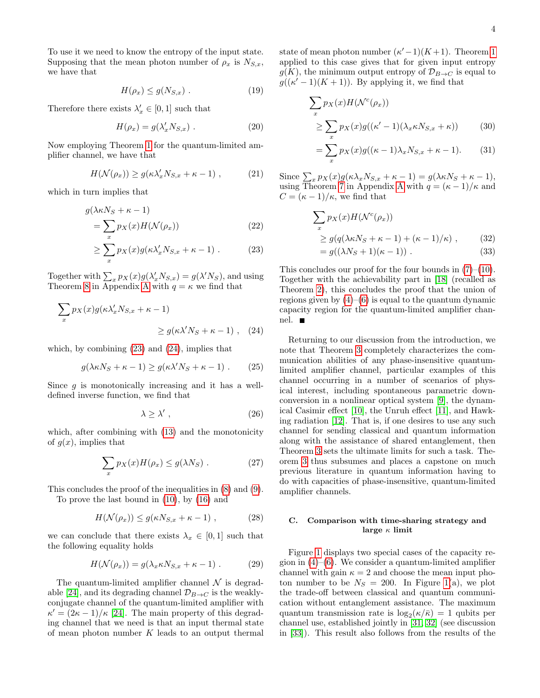To use it we need to know the entropy of the input state. Supposing that the mean photon number of  $\rho_x$  is  $N_{S,x}$ , we have that

$$
H(\rho_x) \le g(N_{S,x}) . \tag{19}
$$

Therefore there exists  $\lambda'_x \in [0,1]$  such that

$$
H(\rho_x) = g(\lambda_x' N_{S,x}) . \qquad (20)
$$

Now employing Theorem [1](#page-1-2) for the quantum-limited amplifier channel, we have that

$$
H(\mathcal{N}(\rho_x)) \ge g(\kappa \lambda_x' N_{S,x} + \kappa - 1) , \qquad (21)
$$

which in turn implies that

$$
g(\lambda \kappa N_S + \kappa - 1)
$$
  
= 
$$
\sum_{x} p_X(x) H(\mathcal{N}(\rho_x))
$$
 (22)

$$
\geq \sum_{x} p_X(x) g(\kappa \lambda_x' N_{S,x} + \kappa - 1) . \tag{23}
$$

Together with  $\sum_{x} p_X(x) g(\lambda'_x N_{S,x}) = g(\lambda' N_S)$ , and using Theorem [8](#page-9-2) in [A](#page-9-0)ppendix A with  $q = \kappa$  we find that

$$
\sum_{x} p_X(x) g(\kappa \lambda_x' N_{S,x} + \kappa - 1)
$$
  
 
$$
\ge g(\kappa \lambda' N_S + \kappa - 1) , \quad (24)
$$

which, by combining [\(23\)](#page-3-0) and [\(24\)](#page-3-1), implies that

$$
g(\lambda \kappa N_S + \kappa - 1) \ge g(\kappa \lambda' N_S + \kappa - 1) \ . \tag{25}
$$

Since  $q$  is monotonically increasing and it has a welldefined inverse function, we find that

$$
\lambda \ge \lambda', \tag{26}
$$

which, after combining with [\(13\)](#page-2-7) and the monotonicity of  $q(x)$ , implies that

$$
\sum_{x} p_X(x) H(\rho_x) \le g(\lambda N_S) . \tag{27}
$$

This concludes the proof of the inequalities in [\(8\)](#page-2-4) and [\(9\)](#page-2-5).

To prove the last bound in [\(10\)](#page-2-8), by [\(16\)](#page-2-9) and

$$
H(\mathcal{N}(\rho_x)) \le g(\kappa N_{S,x} + \kappa - 1) , \qquad (28)
$$

we can conclude that there exists  $\lambda_x \in [0,1]$  such that the following equality holds

$$
H(\mathcal{N}(\rho_x)) = g(\lambda_x \kappa N_{S,x} + \kappa - 1) . \tag{29}
$$

The quantum-limited amplifier channel  $\mathcal N$  is degrad-able [\[24\]](#page-12-10), and its degrading channel  $\mathcal{D}_{B\rightarrow C}$  is the weaklyconjugate channel of the quantum-limited amplifier with  $\kappa' = (2\kappa - 1)/\kappa$  [\[24\]](#page-12-10). The main property of this degrading channel that we need is that an input thermal state of mean photon number  $K$  leads to an output thermal

state of mean photon number  $(\kappa'-1)(K+1)$ . Theorem [1](#page-1-2) applied to this case gives that for given input entropy  $g(K)$ , the minimum output entropy of  $\mathcal{D}_{B\to C}$  is equal to  $g((\kappa'-1)(K+1))$ . By applying it, we find that

$$
\sum_{x} p_X(x) H(\mathcal{N}^c(\rho_x))
$$
  
\n
$$
\geq \sum_{x} p_X(x) g((\kappa' - 1)(\lambda_x \kappa N_{S,x} + \kappa))
$$
 (30)

$$
= \sum_{x} p_X(x) g((\kappa - 1)\lambda_x N_{S,x} + \kappa - 1). \tag{31}
$$

Since  $\sum_{x} p_X(x) g(\kappa \lambda_x N_{S,x} + \kappa - 1) = g(\lambda \kappa N_S + \kappa - 1),$ using Theorem [7](#page-9-3) in [A](#page-9-0)ppendix A with  $q = (\kappa - 1)/\kappa$  and  $C = (\kappa - 1)/\kappa$ , we find that

$$
\sum_{x} p_X(x) H(\mathcal{N}^c(\rho_x))
$$
  
\n
$$
\geq g(q(\lambda \kappa N_S + \kappa - 1) + (\kappa - 1)/\kappa),
$$
 (32)  
\n
$$
= g((\lambda N_S + 1)(\kappa - 1)).
$$
 (33)

<span id="page-3-0"></span>This concludes our proof for the four bounds in  $(7)-(10)$  $(7)-(10)$  $(7)-(10)$ . Together with the achievability part in [\[18\]](#page-12-3) (recalled as Theorem [2\)](#page-2-2), this concludes the proof that the union of regions given by  $(4)$ – $(6)$  is equal to the quantum dynamic capacity region for the quantum-limited amplifier channel.

<span id="page-3-1"></span>Returning to our discussion from the introduction, we note that Theorem [3](#page-2-10) completely characterizes the communication abilities of any phase-insensitive quantumlimited amplifier channel, particular examples of this channel occurring in a number of scenarios of physical interest, including spontaneous parametric downconversion in a nonlinear optical system [\[9\]](#page-11-8), the dynamical Casimir effect [\[10\]](#page-11-9), the Unruh effect [\[11\]](#page-11-10), and Hawking radiation [\[12\]](#page-11-11). That is, if one desires to use any such channel for sending classical and quantum information along with the assistance of shared entanglement, then Theorem [3](#page-2-10) sets the ultimate limits for such a task. Theorem [3](#page-2-10) thus subsumes and places a capstone on much previous literature in quantum information having to do with capacities of phase-insensitive, quantum-limited amplifier channels.

## C. Comparison with time-sharing strategy and large  $\kappa$  limit

Figure [1](#page-4-1) displays two special cases of the capacity region in  $(4)$ – $(6)$ . We consider a quantum-limited amplifier channel with gain  $\kappa = 2$  and choose the mean input photon number to be  $N_S = 200$ . In Figure [1\(](#page-4-1)a), we plot the trade-off between classical and quantum communication without entanglement assistance. The maximum quantum transmission rate is  $\log_2(\kappa/\bar{\kappa}) = 1$  qubits per channel use, established jointly in [\[31,](#page-12-17) [32\]](#page-12-18) (see discussion in [\[33\]](#page-12-19)). This result also follows from the results of the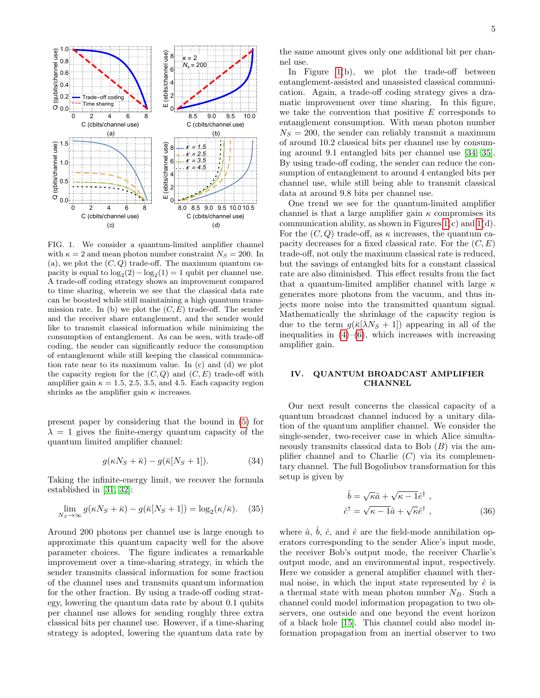

<span id="page-4-1"></span>FIG. 1. We consider a quantum-limited amplifier channel with  $\kappa = 2$  and mean photon number constraint  $N_s = 200$ . In (a), we plot the  $(C, Q)$  trade-off. The maximum quantum capacity is equal to  $\log_2(2) - \log_2(1) = 1$  qubit per channel use. A trade-off coding strategy shows an improvement compared to time sharing, wherein we see that the classical data rate can be boosted while still maintaining a high quantum transmission rate. In (b) we plot the  $(C, E)$  trade-off. The sender and the receiver share entanglement, and the sender would like to transmit classical information while minimizing the consumption of entanglement. As can be seen, with trade-off coding, the sender can significantly reduce the consumption of entanglement while still keeping the classical communication rate near to its maximum value. In (c) and (d) we plot the capacity region for the  $(C, Q)$  and  $(C, E)$  trade-off with amplifier gain  $\kappa = 1.5, 2.5, 3.5,$  and 4.5. Each capacity region shrinks as the amplifier gain  $\kappa$  increases.

present paper by considering that the bound in [\(5\)](#page-2-11) for  $\lambda = 1$  gives the finite-energy quantum capacity of the quantum limited amplifier channel:

$$
g(\kappa N_S + \bar{\kappa}) - g(\bar{\kappa}[N_S + 1]). \tag{34}
$$

Taking the infinite-energy limit, we recover the formula established in [\[31,](#page-12-17) [32\]](#page-12-18):

$$
\lim_{N_S \to \infty} g(\kappa N_S + \bar{\kappa}) - g(\bar{\kappa}[N_S + 1]) = \log_2(\kappa/\bar{\kappa}).
$$
 (35)

Around 200 photons per channel use is large enough to approximate this quantum capacity well for the above parameter choices. The figure indicates a remarkable improvement over a time-sharing strategy, in which the sender transmits classical information for some fraction of the channel uses and transmits quantum information for the other fraction. By using a trade-off coding strategy, lowering the quantum data rate by about 0.1 qubits per channel use allows for sending roughly three extra classical bits per channel use. However, if a time-sharing strategy is adopted, lowering the quantum data rate by

In Figure [1\(](#page-4-1)b), we plot the trade-off between entanglement-assisted and unassisted classical communication. Again, a trade-off coding strategy gives a dramatic improvement over time sharing. In this figure, we take the convention that positive  $E$  corresponds to entanglement consumption. With mean photon number  $N<sub>S</sub> = 200$ , the sender can reliably transmit a maximum of around 10.2 classical bits per channel use by consuming around 9.1 entangled bits per channel use [\[34,](#page-12-20) [35\]](#page-12-21). By using trade-off coding, the sender can reduce the consumption of entanglement to around 4 entangled bits per channel use, while still being able to transmit classical data at around 9.8 bits per channel use.

One trend we see for the quantum-limited amplifier channel is that a large amplifier gain  $\kappa$  compromises its communication ability, as shown in Figures  $1(c)$  and  $1(d)$ . For the  $(C, Q)$  trade-off, as  $\kappa$  increases, the quantum capacity decreases for a fixed classical rate. For the  $(C, E)$ trade-off, not only the maximum classical rate is reduced, but the savings of entangled bits for a constant classical rate are also diminished. This effect results from the fact that a quantum-limited amplifier channel with large  $\kappa$ generates more photons from the vacuum, and thus injects more noise into the transmitted quantum signal. Mathematically the shrinkage of the capacity region is due to the term  $g(\bar{\kappa}[\lambda N_S + 1])$  appearing in all of the inequalities in  $(4)$ – $(6)$ , which increases with increasing amplifier gain.

## <span id="page-4-0"></span>IV. QUANTUM BROADCAST AMPLIFIER **CHANNEL**

Our next result concerns the classical capacity of a quantum broadcast channel induced by a unitary dilation of the quantum amplifier channel. We consider the single-sender, two-receiver case in which Alice simultaneously transmits classical data to Bob  $(B)$  via the amplifier channel and to Charlie  $(C)$  via its complementary channel. The full Bogoliubov transformation for this setup is given by

<span id="page-4-2"></span>
$$
\hat{b} = \sqrt{\kappa}\hat{a} + \sqrt{\kappa - 1}\hat{e}^{\dagger} ,
$$
  
\n
$$
\hat{c}^{\dagger} = \sqrt{\kappa - 1}\hat{a} + \sqrt{\kappa}\hat{e}^{\dagger} ,
$$
\n(36)

where  $\hat{a}$ ,  $\hat{b}$ ,  $\hat{c}$ , and  $\hat{e}$  are the field-mode annihilation operators corresponding to the sender Alice's input mode, the receiver Bob's output mode, the receiver Charlie's output mode, and an environmental input, respectively. Here we consider a general amplifier channel with thermal noise, in which the input state represented by  $\hat{e}$  is a thermal state with mean photon number  $N_B$ . Such a channel could model information propagation to two observers, one outside and one beyond the event horizon of a black hole [\[15\]](#page-12-1). This channel could also model information propagation from an inertial observer to two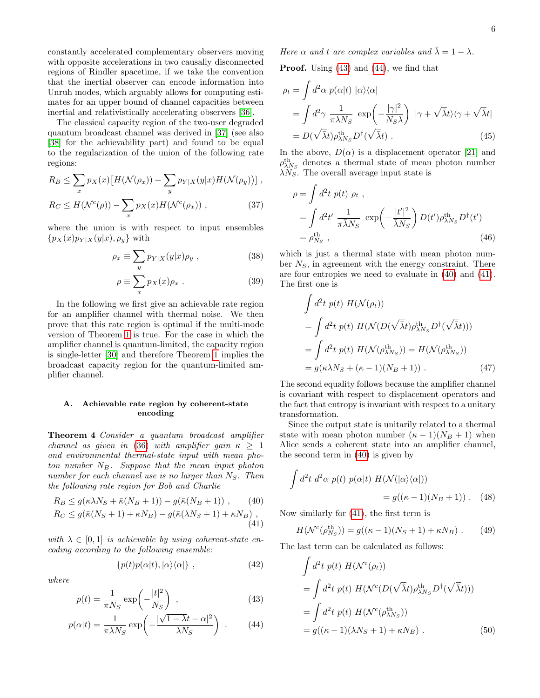constantly accelerated complementary observers moving with opposite accelerations in two causally disconnected regions of Rindler spacetime, if we take the convention that the inertial observer can encode information into Unruh modes, which arguably allows for computing estimates for an upper bound of channel capacities between inertial and relativistically accelerating observers [\[36\]](#page-12-22).

The classical capacity region of the two-user degraded quantum broadcast channel was derived in [\[37\]](#page-12-23) (see also [\[38\]](#page-12-24) for the achievability part) and found to be equal to the regularization of the union of the following rate regions:

$$
R_B \leq \sum_x p_X(x) \big[ H(\mathcal{N}(\rho_x)) - \sum_y p_{Y|X}(y|x) H(\mathcal{N}(\rho_y)) \big],
$$

$$
R_C \le H(\mathcal{N}^c(\rho)) - \sum_x p_X(x) H(\mathcal{N}^c(\rho_x)), \qquad (37)
$$

where the union is with respect to input ensembles  ${p_X(x)p_{Y|X}(y|x), \rho_y}$  with

$$
\rho_x \equiv \sum_y p_{Y|X}(y|x)\rho_y \ , \qquad (38)
$$

$$
\rho \equiv \sum_{x} p_X(x) \rho_x \ . \tag{39}
$$

In the following we first give an achievable rate region for an amplifier channel with thermal noise. We then prove that this rate region is optimal if the multi-mode version of Theorem [1](#page-1-2) is true. For the case in which the amplifier channel is quantum-limited, the capacity region is single-letter [\[30\]](#page-12-15) and therefore Theorem [1](#page-1-2) implies the broadcast capacity region for the quantum-limited amplifier channel.

### A. Achievable rate region by coherent-state encoding

Theorem 4 Consider a quantum broadcast amplifier channel as given in [\(36\)](#page-4-2) with amplifier gain  $\kappa \geq 1$ and environmental thermal-state input with mean photon number  $N_B$ . Suppose that the mean input photon number for each channel use is no larger than  $N<sub>S</sub>$ . Then the following rate region for Bob and Charlie

$$
R_B \le g(\kappa \lambda N_S + \bar{\kappa}(N_B + 1)) - g(\bar{\kappa}(N_B + 1)), \qquad (40)
$$

$$
R_C \le g(\bar{\kappa}(N_S + 1) + \kappa N_B) - g(\bar{\kappa}(\lambda N_S + 1) + \kappa N_B),
$$
\n(41)

with  $\lambda \in [0, 1]$  is achievable by using coherent-state encoding according to the following ensemble:

$$
\{p(t)p(\alpha|t), |\alpha\rangle\langle\alpha|\},\qquad(42)
$$

where

$$
p(t) = \frac{1}{\pi N_S} \exp\left(-\frac{|t|^2}{N_S}\right) ,\qquad (43)
$$

$$
p(\alpha|t) = \frac{1}{\pi \lambda N_S} \exp\left(-\frac{|\sqrt{1-\lambda}t - \alpha|^2}{\lambda N_S}\right) \ . \tag{44}
$$

Here  $\alpha$  and t are complex variables and  $\bar{\lambda} = 1 - \lambda$ .

Proof. Using [\(43\)](#page-5-2) and [\(44\)](#page-5-3), we find that

$$
\rho_t = \int d^2 \alpha \ p(\alpha | t) \ |\alpha\rangle\langle\alpha|
$$
  
= 
$$
\int d^2 \gamma \ \frac{1}{\pi \lambda N_S} \ \exp\left(-\frac{|\gamma|^2}{N_S \lambda}\right) \ |\gamma + \sqrt{\bar{\lambda}}t\rangle\langle\gamma + \sqrt{\bar{\lambda}}t|
$$
  
= 
$$
D(\sqrt{\bar{\lambda}}t)\rho^{\text{th}}_{\lambda N_S} D^{\dagger}(\sqrt{\bar{\lambda}}t) .
$$
 (45)

In the above,  $D(\alpha)$  is a displacement operator [\[21\]](#page-12-7) and  $\rho^{\text{th}}_{\lambda N_S}$  denotes a thermal state of mean photon number  $\lambda N$ <sub>S</sub>. The overall average input state is

$$
\rho = \int d^2 t \, p(t) \, \rho_t ,
$$
\n
$$
= \int d^2 t' \, \frac{1}{\pi \bar{\lambda} N_S} \, \exp\left(-\frac{|t'|^2}{\bar{\lambda} N_S}\right) D(t') \rho_{\lambda N_S}^{\text{th}} D^{\dagger}(t')
$$
\n
$$
= \rho_{N_S}^{\text{th}} , \qquad (46)
$$

which is just a thermal state with mean photon number  $N<sub>S</sub>$ , in agreement with the energy constraint. There are four entropies we need to evaluate in [\(40\)](#page-5-0) and [\(41\)](#page-5-1). The first one is

$$
\int d^2t \ p(t) \ H(\mathcal{N}(\rho_t))
$$
  
= 
$$
\int d^2t \ p(t) \ H(\mathcal{N}(D(\sqrt{\bar{\lambda}}t)\rho_{\lambda N_S}^{\text{th}}D^{\dagger}(\sqrt{\bar{\lambda}}t)))
$$
  
= 
$$
\int d^2t \ p(t) \ H(\mathcal{N}(\rho_{\lambda N_S}^{\text{th}})) = H(\mathcal{N}(\rho_{\lambda N_S}^{\text{th}}))
$$
  
= 
$$
g(\kappa \lambda N_S + (\kappa - 1)(N_B + 1)) .
$$
 (47)

The second equality follows because the amplifier channel is covariant with respect to displacement operators and the fact that entropy is invariant with respect to a unitary transformation.

Since the output state is unitarily related to a thermal state with mean photon number  $(\kappa - 1)(N_B + 1)$  when Alice sends a coherent state into an amplifier channel, the second term in [\(40\)](#page-5-0) is given by

$$
\int d^2t \ d^2\alpha \ p(t) \ p(\alpha|t) \ H(\mathcal{N}(|\alpha\rangle\langle\alpha|))
$$
  
=  $g((\kappa - 1)(N_B + 1))$ . (48)

<span id="page-5-1"></span><span id="page-5-0"></span>Now similarly for [\(41\)](#page-5-1), the first term is

$$
H(\mathcal{N}^c(\rho_{N_S}^{\text{th}})) = g((\kappa - 1)(N_S + 1) + \kappa N_B). \tag{49}
$$

<span id="page-5-4"></span><span id="page-5-2"></span>The last term can be calculated as follows:

<span id="page-5-3"></span>
$$
\int d^2t \ p(t) \ H(\mathcal{N}^c(\rho_t))
$$
\n
$$
= \int d^2t \ p(t) \ H(\mathcal{N}^c(D(\sqrt{\bar{\lambda}}t)\rho_{\lambda N_S}^{\text{th}}D^{\dagger}(\sqrt{\bar{\lambda}}t)))
$$
\n
$$
= \int d^2t \ p(t) \ H(\mathcal{N}^c(\rho_{\lambda N_S}^{\text{th}}))
$$
\n
$$
= g((\kappa - 1)(\lambda N_S + 1) + \kappa N_B) . \tag{50}
$$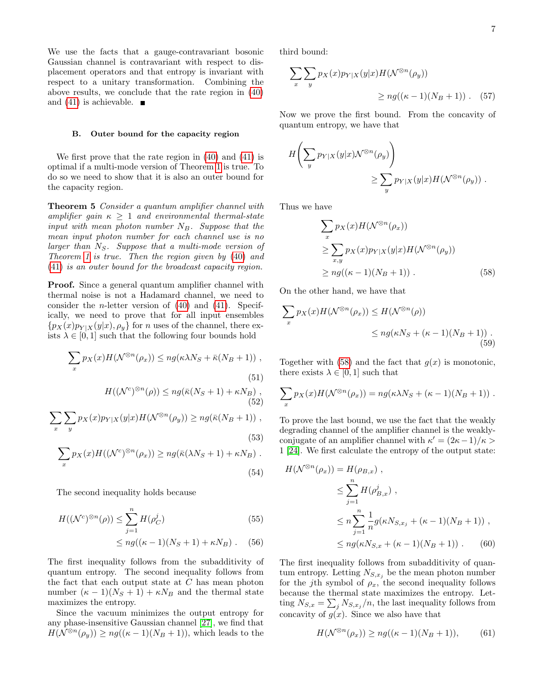We use the facts that a gauge-contravariant bosonic Gaussian channel is contravariant with respect to displacement operators and that entropy is invariant with respect to a unitary transformation. Combining the above results, we conclude that the rate region in [\(40\)](#page-5-0) and [\(41\)](#page-5-1) is achievable.  $\blacksquare$ 

### B. Outer bound for the capacity region

We first prove that the rate region in [\(40\)](#page-5-0) and [\(41\)](#page-5-1) is optimal if a multi-mode version of Theorem [1](#page-1-2) is true. To do so we need to show that it is also an outer bound for the capacity region.

Theorem 5 Consider a quantum amplifier channel with amplifier gain  $\kappa \geq 1$  and environmental thermal-state input with mean photon number  $N_B$ . Suppose that the mean input photon number for each channel use is no larger than  $N_S$ . Suppose that a multi-mode version of Theorem [1](#page-1-2) is true. Then the region given by [\(40\)](#page-5-0) and [\(41\)](#page-5-1) is an outer bound for the broadcast capacity region.

Proof. Since a general quantum amplifier channel with thermal noise is not a Hadamard channel, we need to consider the *n*-letter version of  $(40)$  and  $(41)$ . Specifically, we need to prove that for all input ensembles  $\{p_X(x)p_{Y|X}(y|x), \rho_y\}$  for *n* uses of the channel, there exists  $\lambda \in [0, 1]$  such that the following four bounds hold

$$
\sum_{x} p_X(x) H(\mathcal{N}^{\otimes n}(\rho_x)) \le n g(\kappa \lambda N_S + \bar{\kappa}(N_B + 1)),
$$
\n(51)

$$
H((\mathcal{N}^c)^{\otimes n}(\rho)) \le ng(\bar{\kappa}(N_S + 1) + \kappa N_B),
$$
\n(52)

$$
\sum_{x} \sum_{y} p_X(x) p_{Y|X}(y|x) H(\mathcal{N}^{\otimes n}(\rho_y)) \ge n g(\bar{\kappa}(N_B + 1)),
$$
\n(53)

$$
\sum_{x} p_X(x) H((\mathcal{N}^c)^{\otimes n}(\rho_x)) \ge n g(\bar{\kappa}(\lambda N_S + 1) + \kappa N_B).
$$
\n(54)

$$
f_{\rm{max}}
$$

The second inequality holds because

$$
H((\mathcal{N}^c)^{\otimes n}(\rho)) \le \sum_{j=1}^n H(\rho_C^j)
$$
(55)  

$$
\le n g((\kappa - 1)(N_S + 1) + \kappa N_B).
$$
(56)

The first inequality follows from the subadditivity of quantum entropy. The second inequality follows from the fact that each output state at  $C$  has mean photon number  $(\kappa - 1)(N_S + 1) + \kappa N_B$  and the thermal state maximizes the entropy.

Since the vacuum minimizes the output entropy for any phase-insensitive Gaussian channel [\[27\]](#page-12-13), we find that  $H(\mathcal{N}^{\otimes n}(\rho_y)) \geq ng((\kappa-1)(N_B+1)),$  which leads to the third bound:

$$
\sum_{x} \sum_{y} p_X(x) p_{Y|X}(y|x) H(\mathcal{N}^{\otimes n}(\rho_y))
$$
  
 
$$
\ge n g((\kappa - 1)(N_B + 1)). \quad (57)
$$

Now we prove the first bound. From the concavity of quantum entropy, we have that

$$
H\left(\sum_{y} p_{Y|X}(y|x) \mathcal{N}^{\otimes n}(\rho_y)\right)
$$
  

$$
\geq \sum_{y} p_{Y|X}(y|x) H(\mathcal{N}^{\otimes n}(\rho_y)).
$$

Thus we have

<span id="page-6-0"></span>
$$
\sum_{x} p_X(x) H(\mathcal{N}^{\otimes n}(\rho_x))
$$
  
\n
$$
\geq \sum_{x,y} p_X(x) p_{Y|X}(y|x) H(\mathcal{N}^{\otimes n}(\rho_y))
$$
  
\n
$$
\geq n g((\kappa - 1)(N_B + 1)).
$$
 (58)

On the other hand, we have that

$$
\sum_{x} p_X(x) H(\mathcal{N}^{\otimes n}(\rho_x)) \le H(\mathcal{N}^{\otimes n}(\rho))
$$
  

$$
\le n g(\kappa N_S + (\kappa - 1)(N_B + 1)).
$$
  
(59)

Together with  $(58)$  and the fact that  $g(x)$  is monotonic, there exists  $\lambda \in [0, 1]$  such that

$$
\sum_{x} p_X(x) H(\mathcal{N}^{\otimes n}(\rho_x)) = n g(\kappa \lambda N_S + (\kappa - 1)(N_B + 1)) .
$$

To prove the last bound, we use the fact that the weakly degrading channel of the amplifier channel is the weaklyconjugate of an amplifier channel with  $\kappa' = (2\kappa - 1)/\kappa >$ 1 [\[24\]](#page-12-10). We first calculate the entropy of the output state:

$$
H(\mathcal{N}^{\otimes n}(\rho_x)) = H(\rho_{B,x}),
$$
  
\n
$$
\leq \sum_{j=1}^n H(\rho_{B,x}^j),
$$
  
\n
$$
\leq n \sum_{j=1}^n \frac{1}{n} g(\kappa N_{S,x_j} + (\kappa - 1)(N_B + 1)),
$$
  
\n
$$
\leq n g(\kappa N_{S,x} + (\kappa - 1)(N_B + 1)).
$$
 (60)

The first inequality follows from subadditivity of quantum entropy. Letting  $N_{S,x_j}$  be the mean photon number for the j<sup>th</sup> symbol of  $\rho_x$ , the second inequality follows because the thermal state maximizes the entropy. Letting  $N_{S,x} = \sum_j N_{S,x_j}/n$ , the last inequality follows from concavity of  $g(x)$ . Since we also have that

$$
H(\mathcal{N}^{\otimes n}(\rho_x)) \ge ng((\kappa - 1)(N_B + 1)), \tag{61}
$$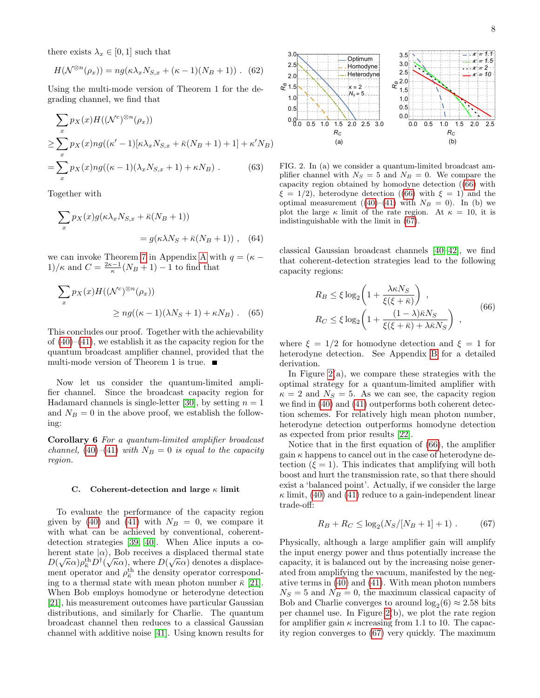there exists  $\lambda_x \in [0,1]$  such that

$$
H(\mathcal{N}^{\otimes n}(\rho_x)) = ng(\kappa \lambda_x N_{S,x} + (\kappa - 1)(N_B + 1)) .
$$
 (62)

Using the multi-mode version of Theorem 1 for the degrading channel, we find that

$$
\sum_{x} p_X(x) H((\mathcal{N}^c)^{\otimes n}(\rho_x))
$$
  
\n
$$
\geq \sum_{x} p_X(x) n g((\kappa'-1)[\kappa \lambda_x N_{S,x} + \bar{\kappa}(N_B+1) + 1] + \kappa' N_B)
$$
  
\n
$$
= \sum_{x} p_X(x) n g((\kappa-1)(\lambda_x N_{S,x} + 1) + \kappa N_B).
$$
 (63)

Together with

$$
\sum_{x} p_X(x) g(\kappa \lambda_x N_{S,x} + \bar{\kappa}(N_B + 1))
$$
  
=  $g(\kappa \lambda N_S + \bar{\kappa}(N_B + 1))$ , (64)

we can invoke Theorem [7](#page-9-3) in [A](#page-9-0)ppendix A with  $q = (\kappa 1)/\kappa$  and  $C = \frac{2\kappa - 1}{\kappa}(N_B + 1) - 1$  to find that

$$
\sum_{x} p_X(x) H((\mathcal{N}^c)^{\otimes n}(\rho_x))
$$
  
\n
$$
\ge n g((\kappa - 1)(\lambda N_S + 1) + \kappa N_B).
$$
 (65)

This concludes our proof. Together with the achievability of  $(40)$ – $(41)$ , we establish it as the capacity region for the quantum broadcast amplifier channel, provided that the multi-mode version of Theorem 1 is true.  $\blacksquare$ 

Now let us consider the quantum-limited amplifier channel. Since the broadcast capacity region for Hadamard channels is single-letter [\[30\]](#page-12-15), by setting  $n = 1$ and  $N_B = 0$  in the above proof, we establish the following:

Corollary 6 For a quantum-limited amplifier broadcast channel, [\(40\)](#page-5-0)–[\(41\)](#page-5-1) with  $N_B = 0$  is equal to the capacity region.

#### C. Coherent-detection and large  $\kappa$  limit

To evaluate the performance of the capacity region given by [\(40\)](#page-5-0) and [\(41\)](#page-5-1) with  $N_B = 0$ , we compare it with what can be achieved by conventional, coherentdetection strategies [\[39,](#page-12-25) [40\]](#page-12-26). When Alice inputs a coherent state  $|\alpha\rangle$ , Bob receives a displaced thermal state  $D(\sqrt{\kappa}\alpha)\rho_{\bar{\kappa}}^{\rm th}D^{\dagger}(\sqrt{\kappa}\alpha),$  where  $D(\sqrt{\kappa}\alpha)$  denotes a displacement operator and  $\rho_{\overline{k}}^{\text{th}}$  the density operator corresponding to a thermal state with mean photon number  $\bar{\kappa}$  [\[21\]](#page-12-7). When Bob employs homodyne or heterodyne detection [\[21\]](#page-12-7), his measurement outcomes have particular Gaussian distributions, and similarly for Charlie. The quantum broadcast channel then reduces to a classical Gaussian channel with additive noise [\[41\]](#page-12-27). Using known results for



<span id="page-7-2"></span>FIG. 2. In (a) we consider a quantum-limited broadcast amplifier channel with  $N_S = 5$  and  $N_B = 0$ . We compare the capacity region obtained by homodyne detection ([\(66\)](#page-7-0) with  $\xi = 1/2$ , heterodyne detection ([\(66\)](#page-7-0) with  $\xi = 1$ ) and the optimal measurement ([\(40\)](#page-5-0)–[\(41\)](#page-5-1) with  $N_B = 0$ ). In (b) we plot the large  $\kappa$  limit of the rate region. At  $\kappa = 10$ , it is indistinguishable with the limit in [\(67\)](#page-7-1).

classical Gaussian broadcast channels [\[40](#page-12-26)[–42\]](#page-12-28), we find that coherent-detection strategies lead to the following capacity regions:

<span id="page-7-0"></span>
$$
R_B \le \xi \log_2 \left( 1 + \frac{\lambda \kappa N_S}{\xi(\xi + \bar{\kappa})} \right) ,
$$
  
\n
$$
R_C \le \xi \log_2 \left( 1 + \frac{(1 - \lambda)\bar{\kappa}N_S}{\xi(\xi + \bar{\kappa}) + \lambda \bar{\kappa}N_S} \right) ,
$$
\n(66)

where  $\xi = 1/2$  for homodyne detection and  $\xi = 1$  for heterodyne detection. See Appendix [B](#page-10-0) for a detailed derivation.

In Figure  $2(a)$ , we compare these strategies with the optimal strategy for a quantum-limited amplifier with  $\kappa = 2$  and  $N_S = 5$ . As we can see, the capacity region we find in [\(40\)](#page-5-0) and [\(41\)](#page-5-1) outperforms both coherent detection schemes. For relatively high mean photon number, heterodyne detection outperforms homodyne detection as expected from prior results [\[22\]](#page-12-8).

Notice that in the first equation of [\(66\)](#page-7-0), the amplifier gain  $\kappa$  happens to cancel out in the case of heterodyne detection  $(\xi = 1)$ . This indicates that amplifying will both boost and hurt the transmission rate, so that there should exist a 'balanced point'. Actually, if we consider the large  $\kappa$  limit, [\(40\)](#page-5-0) and [\(41\)](#page-5-1) reduce to a gain-independent linear trade-off:

<span id="page-7-1"></span>
$$
R_B + R_C \le \log_2(N_S/[N_B + 1] + 1) \ . \tag{67}
$$

Physically, although a large amplifier gain will amplify the input energy power and thus potentially increase the capacity, it is balanced out by the increasing noise generated from amplifying the vacuum, manifested by the negative terms in [\(40\)](#page-5-0) and [\(41\)](#page-5-1). With mean photon numbers  $N_S = 5$  and  $N_B = 0$ , the maximum classical capacity of Bob and Charlie converges to around  $log_2(6) \approx 2.58$  bits per channel use. In Figure [2\(](#page-7-2)b), we plot the rate region for amplifier gain  $\kappa$  increasing from 1.1 to 10. The capacity region converges to [\(67\)](#page-7-1) very quickly. The maximum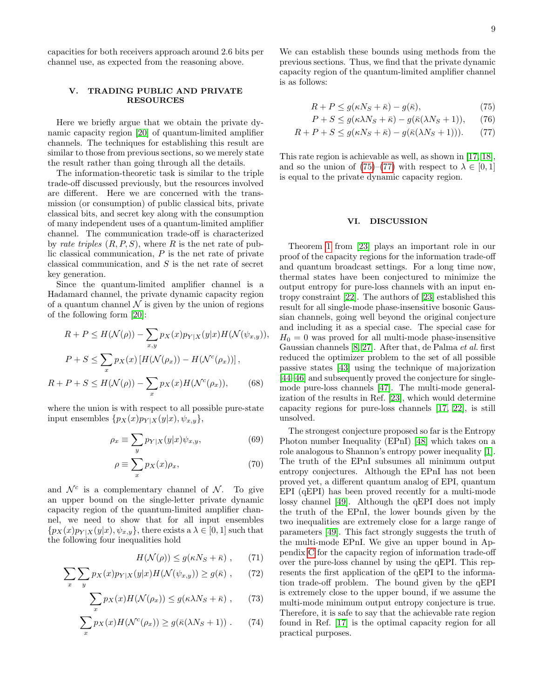capacities for both receivers approach around 2.6 bits per channel use, as expected from the reasoning above.

## <span id="page-8-0"></span>V. TRADING PUBLIC AND PRIVATE RESOURCES

Here we briefly argue that we obtain the private dynamic capacity region [\[20\]](#page-12-6) of quantum-limited amplifier channels. The techniques for establishing this result are similar to those from previous sections, so we merely state the result rather than going through all the details.

The information-theoretic task is similar to the triple trade-off discussed previously, but the resources involved are different. Here we are concerned with the transmission (or consumption) of public classical bits, private classical bits, and secret key along with the consumption of many independent uses of a quantum-limited amplifier channel. The communication trade-off is characterized by rate triples  $(R, P, S)$ , where R is the net rate of public classical communication, P is the net rate of private classical communication, and S is the net rate of secret key generation.

Since the quantum-limited amplifier channel is a Hadamard channel, the private dynamic capacity region of a quantum channel  $\mathcal N$  is given by the union of regions of the following form [\[20\]](#page-12-6):

$$
R + P \le H(\mathcal{N}(\rho)) - \sum_{x,y} p_X(x) p_{Y|X}(y|x) H(\mathcal{N}(\psi_{x,y})),
$$
  

$$
P + S \le \sum_x p_X(x) [H(\mathcal{N}(\rho_x)) - H(\mathcal{N}^c(\rho_x))],
$$
  

$$
R + P + S \le H(\mathcal{N}(\rho)) - \sum p_X(x) H(\mathcal{N}^c(\rho_x)),
$$
 (68)

where the union is with respect to all possible pure-state input ensembles  $\{p_X(x)p_{Y|X}(y|x), \psi_{x,y}\},\$ 

x

$$
\rho_x \equiv \sum_y p_{Y|X}(y|x)\psi_{x,y},\tag{69}
$$

$$
\rho \equiv \sum_{x} p_X(x)\rho_x,\tag{70}
$$

and  $\mathcal{N}^c$  is a complementary channel of  $\mathcal{N}$ . To give an upper bound on the single-letter private dynamic capacity region of the quantum-limited amplifier channel, we need to show that for all input ensembles  $\{p_X(x)p_{Y|X}(y|x), \psi_{x,y}\}\,$  there exists a  $\lambda \in [0,1]$  such that the following four inequalities hold

$$
H(\mathcal{N}(\rho)) \le g(\kappa N_S + \bar{\kappa}) \;, \qquad (71)
$$

$$
\sum_{x} \sum_{y} p_X(x) p_{Y|X}(y|x) H(\mathcal{N}(\psi_{x,y})) \ge g(\bar{\kappa}) ,\qquad(72)
$$

$$
\sum_{x} p_X(x) H(\mathcal{N}(\rho_x)) \le g(\kappa \lambda N_S + \bar{\kappa}) ,\qquad (73)
$$

$$
\sum_{x} p_X(x) H(\mathcal{N}^c(\rho_x)) \ge g(\bar{\kappa}(\lambda N_S + 1)) \ . \tag{74}
$$

We can establish these bounds using methods from the previous sections. Thus, we find that the private dynamic capacity region of the quantum-limited amplifier channel is as follows:

<span id="page-8-2"></span>
$$
R + P \le g(\kappa N_S + \bar{\kappa}) - g(\bar{\kappa}),\tag{75}
$$

$$
P + S \le g(\kappa \lambda N_S + \bar{\kappa}) - g(\bar{\kappa}(\lambda N_S + 1)), \quad (76)
$$

$$
R + P + S \le g(\kappa N_S + \bar{\kappa}) - g(\bar{\kappa}(\lambda N_S + 1))).
$$
 (77)

This rate region is achievable as well, as shown in [\[17,](#page-12-5) [18\]](#page-12-3), and so the union of [\(75\)](#page-8-2)–[\(77\)](#page-8-3) with respect to  $\lambda \in [0,1]$ is equal to the private dynamic capacity region.

### <span id="page-8-3"></span><span id="page-8-1"></span>VI. DISCUSSION

Theorem [1](#page-1-2) from [\[23\]](#page-12-9) plays an important role in our proof of the capacity regions for the information trade-off and quantum broadcast settings. For a long time now, thermal states have been conjectured to minimize the output entropy for pure-loss channels with an input entropy constraint [\[22\]](#page-12-8). The authors of [\[23\]](#page-12-9) established this result for all single-mode phase-insensitive bosonic Gaussian channels, going well beyond the original conjecture and including it as a special case. The special case for  $H_0 = 0$  was proved for all multi-mode phase-insensitive Gaussian channels [\[8,](#page-11-7) [27\]](#page-12-13). After that, de Palma et al. first reduced the optimizer problem to the set of all possible passive states [\[43\]](#page-12-29) using the technique of majorization [\[44–](#page-12-30)[46\]](#page-12-31) and subsequently proved the conjecture for singlemode pure-loss channels [\[47\]](#page-12-32). The multi-mode generalization of the results in Ref. [\[23\]](#page-12-9), which would determine capacity regions for pure-loss channels [\[17,](#page-12-5) [22\]](#page-12-8), is still unsolved.

The strongest conjecture proposed so far is the Entropy Photon number Inequality (EPnI) [\[48\]](#page-13-0) which takes on a role analogous to Shannon's entropy power inequality [\[1\]](#page-11-0). The truth of the EPnI subsumes all minimum output entropy conjectures. Although the EPnI has not been proved yet, a different quantum analog of EPI, quantum EPI (qEPI) has been proved recently for a multi-mode lossy channel [\[49\]](#page-13-1). Although the qEPI does not imply the truth of the EPnI, the lower bounds given by the two inequalities are extremely close for a large range of parameters [\[49\]](#page-13-1). This fact strongly suggests the truth of the multi-mode EPnI. We give an upper bound in Appendix [C](#page-10-1) for the capacity region of information trade-off over the pure-loss channel by using the qEPI. This represents the first application of the qEPI to the information trade-off problem. The bound given by the qEPI is extremely close to the upper bound, if we assume the multi-mode minimum output entropy conjecture is true. Therefore, it is safe to say that the achievable rate region found in Ref. [\[17\]](#page-12-5) is the optimal capacity region for all practical purposes.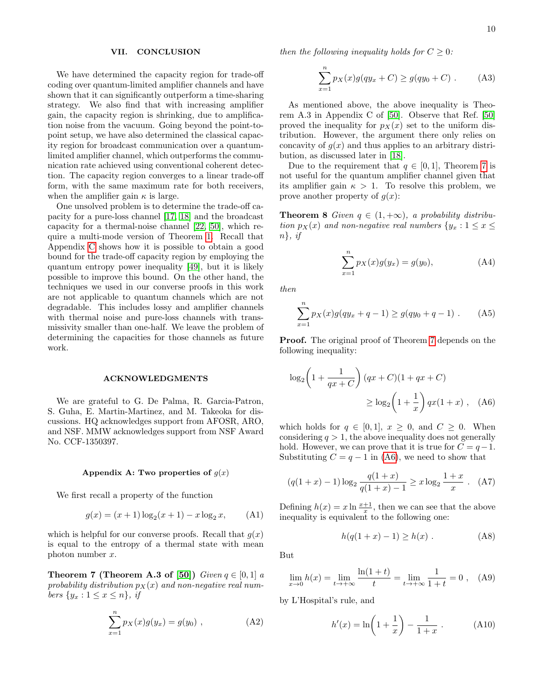### <span id="page-9-1"></span>VII. CONCLUSION

We have determined the capacity region for trade-off coding over quantum-limited amplifier channels and have shown that it can significantly outperform a time-sharing strategy. We also find that with increasing amplifier gain, the capacity region is shrinking, due to amplification noise from the vacuum. Going beyond the point-topoint setup, we have also determined the classical capacity region for broadcast communication over a quantumlimited amplifier channel, which outperforms the communication rate achieved using conventional coherent detection. The capacity region converges to a linear trade-off form, with the same maximum rate for both receivers, when the amplifier gain  $\kappa$  is large.

One unsolved problem is to determine the trade-off capacity for a pure-loss channel [\[17,](#page-12-5) [18\]](#page-12-3) and the broadcast capacity for a thermal-noise channel [\[22,](#page-12-8) [50\]](#page-13-2), which require a multi-mode version of Theorem [1.](#page-1-2) Recall that Appendix [C](#page-10-1) shows how it is possible to obtain a good bound for the trade-off capacity region by employing the quantum entropy power inequality [\[49\]](#page-13-1), but it is likely possible to improve this bound. On the other hand, the techniques we used in our converse proofs in this work are not applicable to quantum channels which are not degradable. This includes lossy and amplifier channels with thermal noise and pure-loss channels with transmissivity smaller than one-half. We leave the problem of determining the capacities for those channels as future work.

#### ACKNOWLEDGMENTS

We are grateful to G. De Palma, R. Garcia-Patron, S. Guha, E. Martin-Martinez, and M. Takeoka for discussions. HQ acknowledges support from AFOSR, ARO, and NSF. MMW acknowledges support from NSF Award No. CCF-1350397.

### <span id="page-9-0"></span>Appendix A: Two properties of  $q(x)$

We first recall a property of the function

$$
g(x) = (x+1)\log_2(x+1) - x\log_2 x, \qquad (A1)
$$

which is helpful for our converse proofs. Recall that  $g(x)$ is equal to the entropy of a thermal state with mean photon number  $x$ .

<span id="page-9-3"></span>**Theorem 7 (Theorem A.3 of [\[50\]](#page-13-2))** Given  $q \in [0, 1]$  a probability distribution  $p_X(x)$  and non-negative real numbers  $\{y_x : 1 \leq x \leq n\}$ , if

$$
\sum_{x=1}^{n} p_X(x)g(y_x) = g(y_0) , \qquad (A2)
$$

then the following inequality holds for  $C \geq 0$ :

$$
\sum_{x=1}^{n} p_X(x)g(qy_x + C) \ge g(qy_0 + C) .
$$
 (A3)

As mentioned above, the above inequality is Theorem A.3 in Appendix C of [\[50\]](#page-13-2). Observe that Ref. [\[50\]](#page-13-2) proved the inequality for  $p_X(x)$  set to the uniform distribution. However, the argument there only relies on concavity of  $g(x)$  and thus applies to an arbitrary distribution, as discussed later in [\[18\]](#page-12-3).

Due to the requirement that  $q \in [0, 1]$ , Theorem [7](#page-9-3) is not useful for the quantum amplifier channel given that its amplifier gain  $\kappa > 1$ . To resolve this problem, we prove another property of  $q(x)$ :

<span id="page-9-2"></span>**Theorem 8** Given  $q \in (1, +\infty)$ , a probability distribution  $p_X(x)$  and non-negative real numbers  $\{y_x : 1 \le x \le$  $n\}$ , if

$$
\sum_{x=1}^{n} p_X(x)g(y_x) = g(y_0), \tag{A4}
$$

then

$$
\sum_{x=1}^{n} p_X(x)g(qy_x + q - 1) \ge g(qy_0 + q - 1) \tag{A5}
$$

Proof. The original proof of Theorem [7](#page-9-3) depends on the following inequality:

<span id="page-9-4"></span>
$$
\log_2\left(1 + \frac{1}{qx + C}\right)(qx + C)(1 + qx + C)
$$

$$
\geq \log_2\left(1 + \frac{1}{x}\right)qx(1+x), \quad \text{(A6)}
$$

which holds for  $q \in [0,1], x \geq 0$ , and  $C \geq 0$ . When considering  $q > 1$ , the above inequality does not generally hold. However, we can prove that it is true for  $C = q-1$ . Substituting  $C = q - 1$  in [\(A6\)](#page-9-4), we need to show that

$$
(q(1+x) - 1)\log_2 \frac{q(1+x)}{q(1+x) - 1} \ge x \log_2 \frac{1+x}{x} \ .
$$
 (A7)

Defining  $h(x) = x \ln \frac{x+1}{x}$ , then we can see that the above inequality is equivalent to the following one:

$$
h(q(1+x) - 1) \ge h(x) .
$$
 (A8)

But

$$
\lim_{x \to 0} h(x) = \lim_{t \to +\infty} \frac{\ln(1+t)}{t} = \lim_{t \to +\infty} \frac{1}{1+t} = 0 , \quad (A9)
$$

by L'Hospital's rule, and

$$
h'(x) = \ln\left(1 + \frac{1}{x}\right) - \frac{1}{1+x} \ . \tag{A10}
$$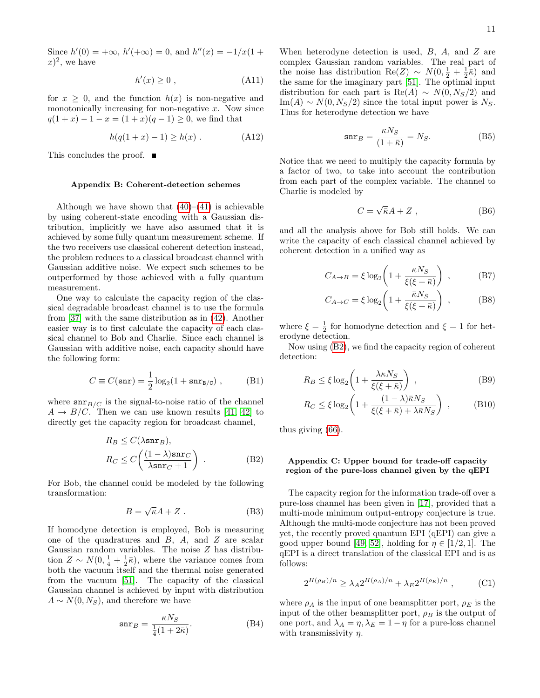Since  $h'(0) = +\infty$ ,  $h'(+\infty) = 0$ , and  $h''(x) = -1/x(1 +$  $(x)^2$ , we have

$$
h'(x) \ge 0 , \qquad (A11)
$$

for  $x \geq 0$ , and the function  $h(x)$  is non-negative and monotonically increasing for non-negative  $x$ . Now since  $q(1+x) - 1 - x = (1+x)(q-1) \geq 0$ , we find that

$$
h(q(1+x) - 1) \ge h(x) .
$$
 (A12)

This concludes the proof. ■

### <span id="page-10-0"></span>Appendix B: Coherent-detection schemes

Although we have shown that  $(40)–(41)$  $(40)–(41)$  $(40)–(41)$  is achievable by using coherent-state encoding with a Gaussian distribution, implicitly we have also assumed that it is achieved by some fully quantum measurement scheme. If the two receivers use classical coherent detection instead, the problem reduces to a classical broadcast channel with Gaussian additive noise. We expect such schemes to be outperformed by those achieved with a fully quantum measurement.

One way to calculate the capacity region of the classical degradable broadcast channel is to use the formula from [\[37\]](#page-12-23) with the same distribution as in [\(42\)](#page-5-4). Another easier way is to first calculate the capacity of each classical channel to Bob and Charlie. Since each channel is Gaussian with additive noise, each capacity should have the following form:

$$
C \equiv C(\operatorname{snr}) = \frac{1}{2}\log_2(1 + \operatorname{snr}_{B/C}), \quad (B1)
$$

where  $\text{snr}_{B/C}$  is the signal-to-noise ratio of the channel  $A \rightarrow B/C$ . Then we can use known results [\[41,](#page-12-27) [42\]](#page-12-28) to directly get the capacity region for broadcast channel,

$$
R_B \le C(\lambda \operatorname{snr}_B),
$$
  
\n
$$
R_C \le C\left(\frac{(1-\lambda)\operatorname{snr}_C}{\lambda \operatorname{snr}_C + 1}\right).
$$
 (B2)

For Bob, the channel could be modeled by the following transformation:

$$
B = \sqrt{\kappa}A + Z \ . \tag{B3}
$$

If homodyne detection is employed, Bob is measuring one of the quadratures and  $B$ ,  $A$ , and  $Z$  are scalar Gaussian random variables. The noise Z has distribution  $Z \sim N(0, \frac{1}{4} + \frac{1}{2}\bar{\kappa})$ , where the variance comes from both the vacuum itself and the thermal noise generated from the vacuum [\[51\]](#page-13-3). The capacity of the classical Gaussian channel is achieved by input with distribution  $A \sim N(0, N_S)$ , and therefore we have

$$
\operatorname{snr}_B = \frac{\kappa N_S}{\frac{1}{4}(1 + 2\bar{\kappa})}.\tag{B4}
$$

When heterodyne detection is used,  $B$ ,  $A$ , and  $Z$  are complex Gaussian random variables. The real part of the noise has distribution Re(Z) ~  $N(0, \frac{1}{2} + \frac{1}{2}\overline{\kappa})$  and the same for the imaginary part [\[51\]](#page-13-3). The optimal input distribution for each part is Re(A)  $\sim N(0, N_S/2)$  and  $\text{Im}(A) \sim N(0, N_S/2)$  since the total input power is  $N_S$ . Thus for heterodyne detection we have

$$
\operatorname{snr}_B = \frac{\kappa N_S}{(1+\bar{\kappa})} = N_S. \tag{B5}
$$

Notice that we need to multiply the capacity formula by a factor of two, to take into account the contribution from each part of the complex variable. The channel to Charlie is modeled by

$$
C = \sqrt{\bar{\kappa}}A + Z \t{,}
$$
 (B6)

and all the analysis above for Bob still holds. We can write the capacity of each classical channel achieved by coherent detection in a unified way as

$$
C_{A \to B} = \xi \log_2 \left( 1 + \frac{\kappa N_S}{\xi(\xi + \bar{\kappa})} \right) , \qquad (B7)
$$

$$
C_{A \to C} = \xi \log_2 \left( 1 + \frac{\bar{\kappa} N_S}{\xi(\xi + \bar{\kappa})} \right) , \qquad (B8)
$$

where  $\xi = \frac{1}{2}$  for homodyne detection and  $\xi = 1$  for heterodyne detection.

Now using [\(B2\)](#page-10-2), we find the capacity region of coherent detection:

$$
R_B \le \xi \log_2 \left( 1 + \frac{\lambda \kappa N_S}{\xi(\xi + \bar{\kappa})} \right) , \qquad (B9)
$$

$$
R_C \le \xi \log_2 \left( 1 + \frac{(1 - \lambda)\bar{\kappa}N_S}{\xi(\xi + \bar{\kappa}) + \lambda\bar{\kappa}N_S} \right) ,\qquad \text{(B10)}
$$

<span id="page-10-2"></span>thus giving [\(66\)](#page-7-0).

## <span id="page-10-1"></span>Appendix C: Upper bound for trade-off capacity region of the pure-loss channel given by the qEPI

The capacity region for the information trade-off over a pure-loss channel has been given in [\[17\]](#page-12-5), provided that a multi-mode minimum output-entropy conjecture is true. Although the multi-mode conjecture has not been proved yet, the recently proved quantum EPI (qEPI) can give a good upper bound [\[49,](#page-13-1) [52\]](#page-13-4), holding for  $\eta \in [1/2, 1]$ . The qEPI is a direct translation of the classical EPI and is as follows:

$$
2^{H(\rho_B)/n} \ge \lambda_A 2^{H(\rho_A)/n} + \lambda_E 2^{H(\rho_E)/n} , \qquad \text{(C1)}
$$

where  $\rho_A$  is the input of one beamsplitter port,  $\rho_E$  is the input of the other beamsplitter port,  $\rho_B$  is the output of one port, and  $\lambda_A = \eta$ ,  $\lambda_E = 1 - \eta$  for a pure-loss channel with transmissivity  $\eta$ .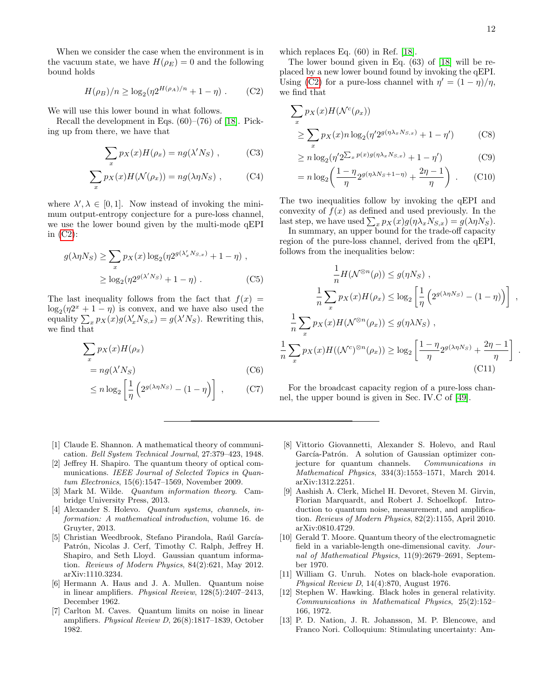.

When we consider the case when the environment is in the vacuum state, we have  $H(\rho_E) = 0$  and the following bound holds

$$
H(\rho_B)/n \ge \log_2(\eta 2^{H(\rho_A)/n} + 1 - \eta) \ . \tag{C2}
$$

We will use this lower bound in what follows.

Recall the development in Eqs. (60)–(76) of [\[18\]](#page-12-3). Picking up from there, we have that

$$
\sum_{x} p_X(x) H(\rho_x) = n g(\lambda' N_S) , \qquad (C3)
$$

$$
\sum_{x} p_X(x) H(\mathcal{N}(\rho_x)) = n g(\lambda \eta N_S) , \qquad (C4)
$$

where  $\lambda', \lambda \in [0, 1]$ . Now instead of invoking the minimum output-entropy conjecture for a pure-loss channel, we use the lower bound given by the multi-mode qEPI in  $(C2)$ :

$$
g(\lambda \eta N_S) \ge \sum_x p_X(x) \log_2(\eta 2^{g(\lambda'_x N_{S,x})} + 1 - \eta) ,
$$
  
 
$$
\ge \log_2(\eta 2^{g(\lambda' N_S)} + 1 - \eta) .
$$
 (C5)

The last inequality follows from the fact that  $f(x) =$  $\log_2(\eta 2^x + 1 - \eta)$  is convex, and we have also used the equality  $\sum_{x} p_X(x) g(\lambda'_x N_{S,x}) = g(\lambda' N_S)$ . Rewriting this, we find that

$$
\sum_{x} p_X(x) H(\rho_x)
$$
  
=  $ng(\lambda' N_S)$  (C6)

1 n

$$
\leq n \log_2 \left[ \frac{1}{\eta} \left( 2^{g(\lambda \eta N_S)} - (1 - \eta) \right) \right], \quad (C7)
$$

- <span id="page-11-0"></span>[1] Claude E. Shannon. A mathematical theory of communication. Bell System Technical Journal, 27:379–423, 1948.
- <span id="page-11-1"></span>[2] Jeffrey H. Shapiro. The quantum theory of optical communications. IEEE Journal of Selected Topics in Quantum Electronics, 15(6):1547–1569, November 2009.
- <span id="page-11-2"></span>[3] Mark M. Wilde. Quantum information theory. Cambridge University Press, 2013.
- <span id="page-11-3"></span>[4] Alexander S. Holevo. Quantum systems, channels, information: A mathematical introduction, volume 16. de Gruyter, 2013.
- <span id="page-11-4"></span>[5] Christian Weedbrook, Stefano Pirandola, Raúl García-Patrón, Nicolas J. Cerf, Timothy C. Ralph, Jeffrey H. Shapiro, and Seth Lloyd. Gaussian quantum information. Reviews of Modern Physics, 84(2):621, May 2012. arXiv:1110.3234.
- <span id="page-11-5"></span>[6] Hermann A. Haus and J. A. Mullen. Quantum noise in linear amplifiers. Physical Review, 128(5):2407–2413, December 1962.
- <span id="page-11-6"></span>[7] Carlton M. Caves. Quantum limits on noise in linear amplifiers. Physical Review D, 26(8):1817–1839, October 1982.

which replaces Eq. (60) in Ref. [\[18\]](#page-12-3).

<span id="page-11-13"></span>The lower bound given in Eq. (63) of [\[18\]](#page-12-3) will be replaced by a new lower bound found by invoking the qEPI. Using [\(C2\)](#page-11-13) for a pure-loss channel with  $\eta' = (1 - \eta)/\eta$ , we find that

$$
\sum_{x} p_X(x) H(\mathcal{N}^c(\rho_x))
$$
  
\n
$$
\geq \sum_{x} p_X(x) n \log_2(\eta' 2^{g(\eta \lambda_x N_{S,x})} + 1 - \eta')
$$
 (C8)

$$
\geq n \log_2(\eta' 2^{\sum_x p(x) g(\eta \lambda_x N_{S,x})} + 1 - \eta') \tag{C9}
$$

$$
= n \log_2 \left( \frac{1 - \eta}{\eta} 2^{g(\eta \lambda N_S + 1 - \eta)} + \frac{2\eta - 1}{\eta} \right) . \tag{C10}
$$

The two inequalities follow by invoking the qEPI and convexity of  $f(x)$  as defined and used previously. In the last step, we have used  $\sum_{x} p_X(x) g(\eta \lambda_x N_{S,x}) = g(\lambda \eta N_S)$ .

In summary, an upper bound for the trade-off capacity region of the pure-loss channel, derived from the qEPI, follows from the inequalities below:

$$
\frac{1}{n}H(\mathcal{N}^{\otimes n}(\rho)) \le g(\eta N_S) ,
$$
\n
$$
\frac{1}{n} \sum_{x} p_X(x)H(\rho_x) \le \log_2 \left[ \frac{1}{\eta} \left( 2^{g(\lambda \eta N_S)} - (1 - \eta) \right) \right] ,
$$
\n
$$
\frac{1}{n} \sum_{x} p_X(x)H(\mathcal{N}^{\otimes n}(\rho_x)) \le g(\eta \lambda N_S) ,
$$
\n
$$
\sum_{x} p_X(x)H((\mathcal{N}^c)^{\otimes n}(\rho_x)) \ge \log_2 \left[ \frac{1 - \eta}{\eta} 2^{g(\lambda \eta N_S)} + \frac{2\eta - 1}{\eta} \right]
$$
\n(C11)

For the broadcast capacity region of a pure-loss channel, the upper bound is given in Sec. IV.C of [\[49\]](#page-13-1).

- <span id="page-11-7"></span>[8] Vittorio Giovannetti, Alexander S. Holevo, and Raul García-Patrón. A solution of Gaussian optimizer conjecture for quantum channels. Communications in Mathematical Physics, 334(3):1553–1571, March 2014. arXiv:1312.2251.
- <span id="page-11-8"></span>[9] Aashish A. Clerk, Michel H. Devoret, Steven M. Girvin, Florian Marquardt, and Robert J. Schoelkopf. Introduction to quantum noise, measurement, and amplification. Reviews of Modern Physics, 82(2):1155, April 2010. arXiv:0810.4729.
- <span id="page-11-9"></span>[10] Gerald T. Moore. Quantum theory of the electromagnetic field in a variable-length one-dimensional cavity. Journal of Mathematical Physics, 11(9):2679–2691, September 1970.
- <span id="page-11-10"></span>[11] William G. Unruh. Notes on black-hole evaporation. Physical Review D, 14(4):870, August 1976.
- <span id="page-11-11"></span>[12] Stephen W. Hawking. Black holes in general relativity. Communications in Mathematical Physics, 25(2):152– 166, 1972.
- <span id="page-11-12"></span>[13] P. D. Nation, J. R. Johansson, M. P. Blencowe, and Franco Nori. Colloquium: Stimulating uncertainty: Am-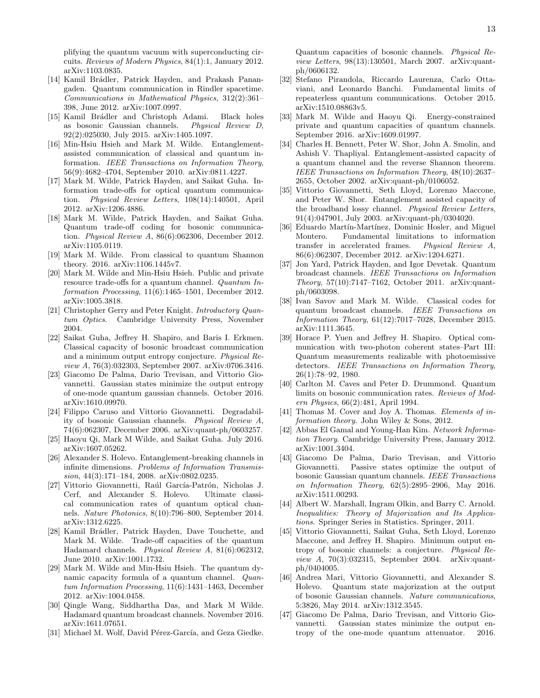plifying the quantum vacuum with superconducting circuits. Reviews of Modern Physics, 84(1):1, January 2012. arXiv:1103.0835.

- <span id="page-12-0"></span>[14] Kamil Brádler, Patrick Hayden, and Prakash Panangaden. Quantum communication in Rindler spacetime. Communications in Mathematical Physics, 312(2):361– 398, June 2012. arXiv:1007.0997.
- <span id="page-12-1"></span>[15] Kamil Brádler and Christoph Adami. Black holes as bosonic Gaussian channels. Physical Review D, 92(2):025030, July 2015. arXiv:1405.1097.
- <span id="page-12-2"></span>[16] Min-Hsiu Hsieh and Mark M. Wilde. Entanglementassisted communication of classical and quantum information. IEEE Transactions on Information Theory, 56(9):4682–4704, September 2010. arXiv:0811.4227.
- <span id="page-12-5"></span>[17] Mark M. Wilde, Patrick Hayden, and Saikat Guha. Information trade-offs for optical quantum communication. Physical Review Letters, 108(14):140501, April 2012. arXiv:1206.4886.
- <span id="page-12-3"></span>[18] Mark M. Wilde, Patrick Hayden, and Saikat Guha. Quantum trade-off coding for bosonic communication. Physical Review A, 86(6):062306, December 2012. arXiv:1105.0119.
- <span id="page-12-4"></span>[19] Mark M. Wilde. From classical to quantum Shannon theory. 2016. arXiv:1106.1445v7.
- <span id="page-12-6"></span>[20] Mark M. Wilde and Min-Hsiu Hsieh. Public and private resource trade-offs for a quantum channel. Quantum Information Processing, 11(6):1465–1501, December 2012. arXiv:1005.3818.
- <span id="page-12-7"></span>[21] Christopher Gerry and Peter Knight. Introductory Quantum Optics. Cambridge University Press, November 2004.
- <span id="page-12-8"></span>[22] Saikat Guha, Jeffrey H. Shapiro, and Baris I. Erkmen. Classical capacity of bosonic broadcast communication and a minimum output entropy conjecture. Physical Review A, 76(3):032303, September 2007. arXiv:0706.3416.
- <span id="page-12-9"></span>[23] Giacomo De Palma, Dario Trevisan, and Vittorio Giovannetti. Gaussian states minimize the output entropy of one-mode quantum gaussian channels. October 2016. arXiv:1610.09970.
- <span id="page-12-10"></span>[24] Filippo Caruso and Vittorio Giovannetti. Degradability of bosonic Gaussian channels. Physical Review A, 74(6):062307, December 2006. arXiv:quant-ph/0603257.
- <span id="page-12-11"></span>[25] Haoyu Qi, Mark M Wilde, and Saikat Guha. July 2016. arXiv:1607.05262.
- <span id="page-12-12"></span>[26] Alexander S. Holevo. Entanglement-breaking channels in infinite dimensions. Problems of Information Transmission, 44(3):171–184, 2008. arXiv:0802.0235.
- <span id="page-12-13"></span>[27] Vittorio Giovannetti, Raúl García-Patrón, Nicholas J. Cerf, and Alexander S. Holevo. Ultimate classical communication rates of quantum optical channels. Nature Photonics, 8(10):796–800, September 2014. arXiv:1312.6225.
- <span id="page-12-14"></span>[28] Kamil Brádler, Patrick Hayden, Dave Touchette, and Mark M. Wilde. Trade-off capacities of the quantum Hadamard channels. Physical Review A, 81(6):062312, June 2010. arXiv:1001.1732.
- <span id="page-12-16"></span>[29] Mark M. Wilde and Min-Hsiu Hsieh. The quantum dynamic capacity formula of a quantum channel. Quantum Information Processing, 11(6):1431–1463, December 2012. arXiv:1004.0458.
- <span id="page-12-15"></span>[30] Qingle Wang, Siddhartha Das, and Mark M Wilde. Hadamard quantum broadcast channels. November 2016. arXiv:1611.07651.
- <span id="page-12-17"></span>[31] Michael M. Wolf, David Pérez-García, and Geza Giedke.

Quantum capacities of bosonic channels. Physical Review Letters, 98(13):130501, March 2007. arXiv:quantph/0606132.

- <span id="page-12-18"></span>[32] Stefano Pirandola, Riccardo Laurenza, Carlo Ottaviani, and Leonardo Banchi. Fundamental limits of repeaterless quantum communications. October 2015. arXiv:1510.08863v5.
- <span id="page-12-19"></span>[33] Mark M. Wilde and Haoyu Qi. Energy-constrained private and quantum capacities of quantum channels. September 2016. arXiv:1609.01997.
- <span id="page-12-20"></span>[34] Charles H. Bennett, Peter W. Shor, John A. Smolin, and Ashish V. Thapliyal. Entanglement-assisted capacity of a quantum channel and the reverse Shannon theorem. IEEE Transactions on Information Theory, 48(10):2637– 2655, October 2002. arXiv:quant-ph/0106052.
- <span id="page-12-21"></span>[35] Vittorio Giovannetti, Seth Lloyd, Lorenzo Maccone, and Peter W. Shor. Entanglement assisted capacity of the broadband lossy channel. Physical Review Letters, 91(4):047901, July 2003. arXiv:quant-ph/0304020.
- <span id="page-12-22"></span>[36] Eduardo Martín-Martínez, Dominic Hosler, and Miguel Montero. Fundamental limitations to information transfer in accelerated frames. Physical Review A, 86(6):062307, December 2012. arXiv:1204.6271.
- <span id="page-12-23"></span>[37] Jon Yard, Patrick Hayden, and Igor Devetak. Quantum broadcast channels. IEEE Transactions on Information Theory, 57(10):7147–7162, October 2011. arXiv:quantph/0603098.
- <span id="page-12-24"></span>[38] Ivan Savov and Mark M. Wilde. Classical codes for quantum broadcast channels. IEEE Transactions on Information Theory, 61(12):7017–7028, December 2015. arXiv:1111.3645.
- <span id="page-12-25"></span>[39] Horace P. Yuen and Jeffrey H. Shapiro. Optical communication with two-photon coherent states–Part III: Quantum measurements realizable with photoemissive detectors. IEEE Transactions on Information Theory, 26(1):78–92, 1980.
- <span id="page-12-26"></span>[40] Carlton M. Caves and Peter D. Drummond. Quantum limits on bosonic communication rates. Reviews of Modern Physics, 66(2):481, April 1994.
- <span id="page-12-27"></span>[41] Thomas M. Cover and Joy A. Thomas. *Elements of in*formation theory. John Wiley & Sons, 2012.
- <span id="page-12-28"></span>[42] Abbas El Gamal and Young-Han Kim. Network Information Theory. Cambridge University Press, January 2012. arXiv:1001.3404.
- <span id="page-12-29"></span>[43] Giacomo De Palma, Dario Trevisan, and Vittorio Giovannetti. Passive states optimize the output of bosonic Gaussian quantum channels. IEEE Transactions on Information Theory, 62(5):2895–2906, May 2016. arXiv:1511.00293.
- <span id="page-12-30"></span>[44] Albert W. Marshall, Ingram Olkin, and Barry C. Arnold. Inequalities: Theory of Majorization and Its Applications. Springer Series in Statistics. Springer, 2011.
- [45] Vittorio Giovannetti, Saikat Guha, Seth Lloyd, Lorenzo Maccone, and Jeffrey H. Shapiro. Minimum output entropy of bosonic channels: a conjecture. Physical Review A, 70(3):032315, September 2004. arXiv:quantph/0404005.
- <span id="page-12-31"></span>[46] Andrea Mari, Vittorio Giovannetti, and Alexander S. Holevo. Quantum state majorization at the output of bosonic Gaussian channels. Nature communications, 5:3826, May 2014. arXiv:1312.3545.
- <span id="page-12-32"></span>[47] Giacomo De Palma, Dario Trevisan, and Vittorio Giovannetti. Gaussian states minimize the output entropy of the one-mode quantum attenuator. 2016.